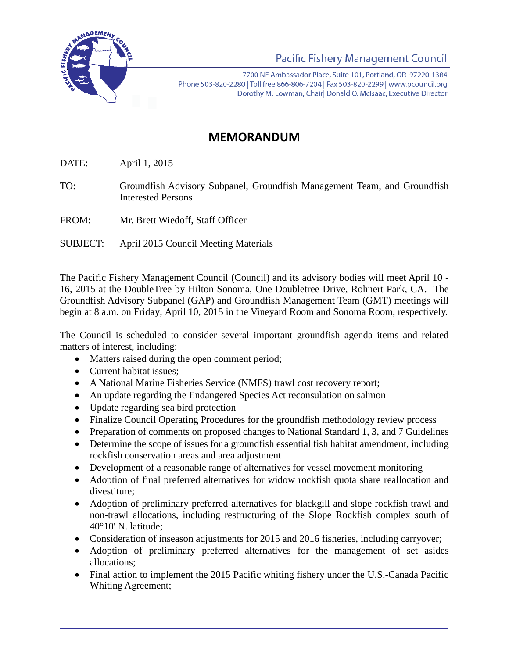

Pacific Fishery Management Council

7700 NE Ambassador Place, Suite 101, Portland, OR 97220-1384 Phone 503-820-2280 | Toll free 866-806-7204 | Fax 503-820-2299 | www.pcouncil.org Dorothy M. Lowman, Chairl Donald O. McIsaac, Executive Director

## **MEMORANDUM**

DATE: April 1, 2015

TO: Groundfish Advisory Subpanel, Groundfish Management Team, and Groundfish Interested Persons

FROM: Mr. Brett Wiedoff, Staff Officer

SUBJECT: April 2015 Council Meeting Materials

The Pacific Fishery Management Council (Council) and its advisory bodies will meet April 10 - 16, 2015 at the DoubleTree by Hilton Sonoma, One Doubletree Drive, Rohnert Park, CA. The Groundfish Advisory Subpanel (GAP) and Groundfish Management Team (GMT) meetings will begin at 8 a.m. on Friday, April 10, 2015 in the Vineyard Room and Sonoma Room, respectively.

The Council is scheduled to consider several important groundfish agenda items and related matters of interest, including:

- Matters raised during the open comment period;
- Current habitat issues;
- A National Marine Fisheries Service (NMFS) trawl cost recovery report;
- An update regarding the Endangered Species Act reconsulation on salmon
- Update regarding sea bird protection
- Finalize Council Operating Procedures for the groundfish methodology review process
- Preparation of comments on proposed changes to National Standard 1, 3, and 7 Guidelines
- Determine the scope of issues for a groundfish essential fish habitat amendment, including rockfish conservation areas and area adjustment
- Development of a reasonable range of alternatives for vessel movement monitoring
- Adoption of final preferred alternatives for widow rockfish quota share reallocation and divestiture;
- Adoption of preliminary preferred alternatives for blackgill and slope rockfish trawl and non-trawl allocations, including restructuring of the Slope Rockfish complex south of 40°10' N. latitude;
- Consideration of inseason adjustments for 2015 and 2016 fisheries, including carryover;
- Adoption of preliminary preferred alternatives for the management of set asides allocations;
- Final action to implement the 2015 Pacific whiting fishery under the U.S.-Canada Pacific Whiting Agreement;